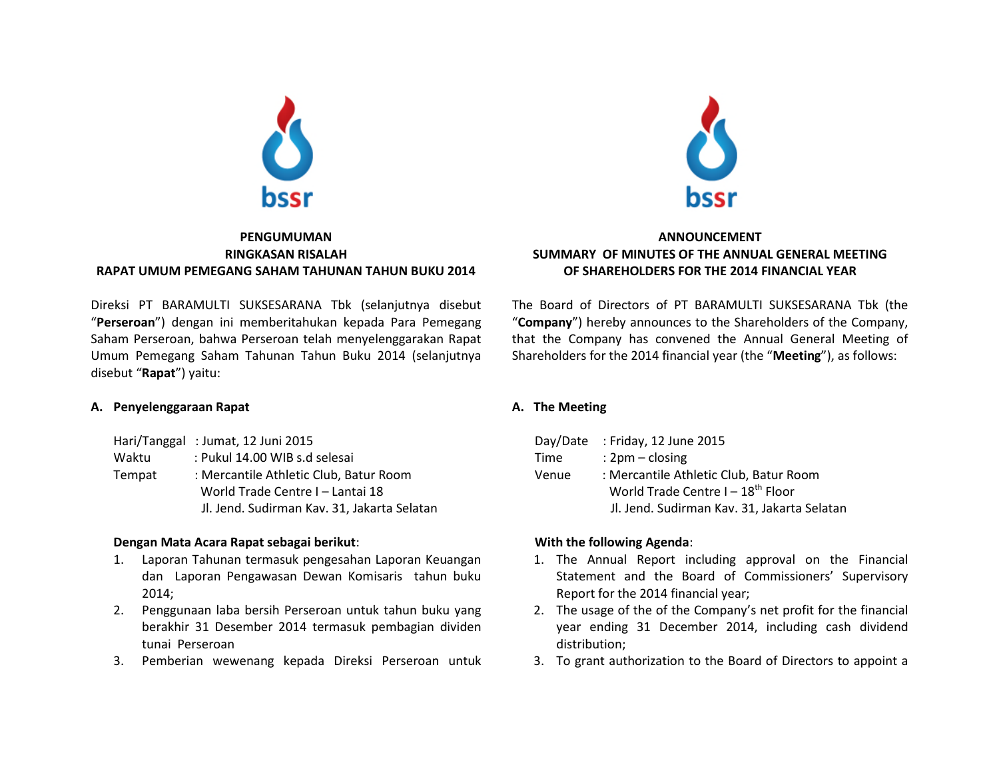

# **PENGUMUMAN RINGKASAN RISALAH RAPAT UMUM PEMEGANG SAHAM TAHUNAN TAHUN BUKU 2014**

Direksi PT BARAMULTI SUKSESARANA Tbk (selanjutnya disebut "**Perseroan**") dengan ini memberitahukan kepada Para Pemegang Saham Perseroan, bahwa Perseroan telah menyelenggarakan Rapat Umum Pemegang Saham Tahunan Tahun Buku 2014 (selanjutnya disebut "**Rapat**") yaitu:

# **A. Penyelenggaraan Rapat**

|        | Hari/Tanggal: Jumat, 12 Juni 2015           |  |  |  |
|--------|---------------------------------------------|--|--|--|
| Waktu  | : Pukul 14.00 WIB s.d selesai               |  |  |  |
| Tempat | : Mercantile Athletic Club, Batur Room      |  |  |  |
|        | World Trade Centre I - Lantai 18            |  |  |  |
|        | Jl. Jend. Sudirman Kav. 31, Jakarta Selatan |  |  |  |

# **Dengan Mata Acara Rapat sebagai berikut**:

- 1. Laporan Tahunan termasuk pengesahan Laporan Keuangan dan Laporan Pengawasan Dewan Komisaris tahun buku 2014;
- 2. Penggunaan laba bersih Perseroan untuk tahun buku yang berakhir 31 Desember 2014 termasuk pembagian dividen tunai Perseroan
- 3. Pemberian wewenang kepada Direksi Perseroan untuk



# **ANNOUNCEMENT SUMMARY OF MINUTES OF THE ANNUAL GENERAL MEETING OF SHAREHOLDERS FOR THE 2014 FINANCIAL YEAR**

The Board of Directors of PT BARAMULTI SUKSESARANA Tbk (the "**Company**") hereby announces to the Shareholders of the Company, that the Company has convened the Annual General Meeting of Shareholders for the 2014 financial year (the "**Meeting**"), as follows:

# **A. The Meeting**

|       | Day/Date : Friday, 12 June 2015             |  |  |
|-------|---------------------------------------------|--|--|
| Time  | : $2 \text{pm} - \text{closing}$            |  |  |
| Venue | : Mercantile Athletic Club, Batur Room      |  |  |
|       | World Trade Centre $I - 18^{th}$ Floor      |  |  |
|       | Jl. Jend. Sudirman Kav. 31, Jakarta Selatan |  |  |

# **With the following Agenda**:

- 1. The Annual Report including approval on the Financial Statement and the Board of Commissioners' Supervisory Report for the 2014 financial year;
- 2. The usage of the of the Company's net profit for the financial year ending 31 December 2014, including cash dividend distribution;
- 3. To grant authorization to the Board of Directors to appoint a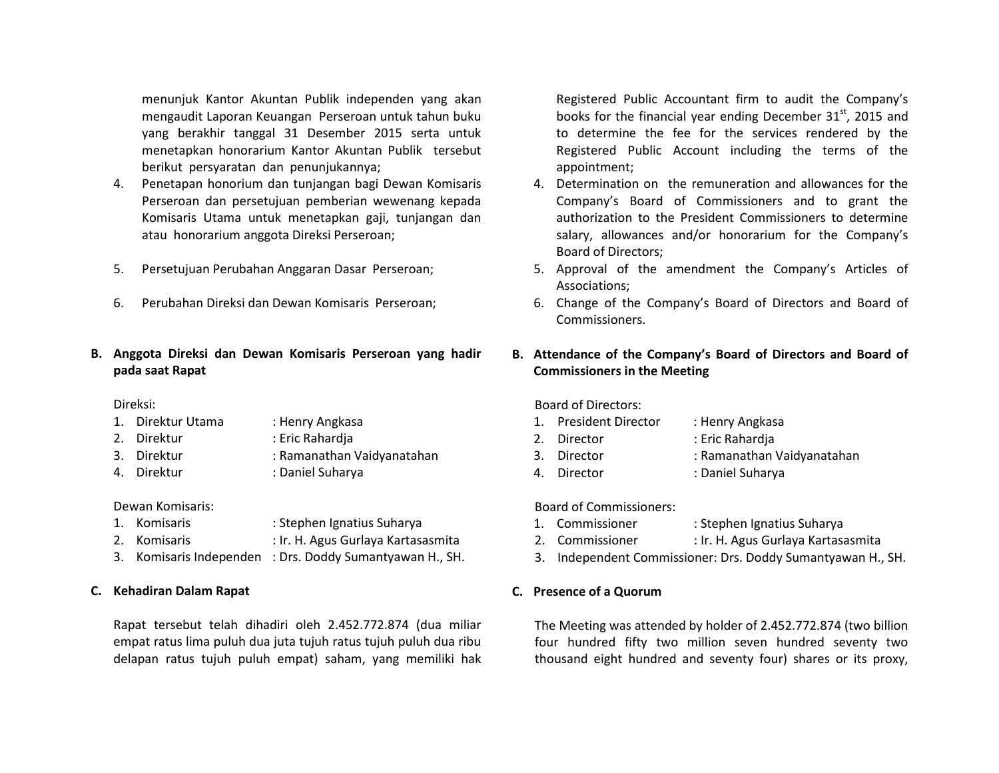menunjuk Kantor Akuntan Publik independen yang akan mengaudit Laporan Keuangan Perseroan untuk tahun buku yang berakhir tanggal 31 Desember 2015 serta untuk menetapkan honorarium Kantor Akuntan Publik tersebut berikut persyaratan dan penunjukannya;

- 4. Penetapan honorium dan tunjangan bagi Dewan Komisaris Perseroan dan persetujuan pemberian wewenang kepada Komisaris Utama untuk menetapkan gaji, tunjangan dan atau honorarium anggota Direksi Perseroan;
- 5. Persetujuan Perubahan Anggaran Dasar Perseroan;
- 6. Perubahan Direksi dan Dewan Komisaris Perseroan;

# **B. Anggota Direksi dan Dewan Komisaris Perseroan yang hadir pada saat Rapat**

### Direksi:

- 1. Direktur Utama : Henry Angkasa
- 2. Direktur : Eric Rahardja
- 3. Direktur : Ramanathan Vaidyanatahan
- 4. Direktur : Daniel Suharya

### Dewan Komisaris:

- 1. Komisaris : Stephen Ignatius Suharya
- 2. Komisaris : Ir. H. Agus Gurlaya Kartasasmita
- 3. Komisaris Independen : Drs. Doddy Sumantyawan H., SH.

# **C. Kehadiran Dalam Rapat**

Rapat tersebut telah dihadiri oleh 2.452.772.874 (dua miliar empat ratus lima puluh dua juta tujuh ratus tujuh puluh dua ribu delapan ratus tujuh puluh empat) saham, yang memiliki hak Registered Public Accountant firm to audit the Company's books for the financial year ending December  $31<sup>st</sup>$ , 2015 and to determine the fee for the services rendered by the Registered Public Account including the terms of the appointment;

- 4. Determination on the remuneration and allowances for the Company's Board of Commissioners and to grant the authorization to the President Commissioners to determine salary, allowances and/or honorarium for the Company's Board of Directors;
- 5. Approval of the amendment the Company's Articles of Associations;
- 6. Change of the Company's Board of Directors and Board of Commissioners.

# **B. Attendance of the Company's Board of Directors and Board of Commissioners in the Meeting**

Board of Directors:

- 1. President Director : Henry Angkasa 2. Director : Eric Rahardja 3. Director : Ramanathan Vaidyanatahan
- 4. Director : Daniel Suharya

Board of Commissioners:

- 1. Commissioner : Stephen Ignatius Suharya
- 2. Commissioner : Ir. H. Agus Gurlaya Kartasasmita
- 3. Independent Commissioner: Drs. Doddy Sumantyawan H., SH.

# **C. Presence of a Quorum**

The Meeting was attended by holder of 2.452.772.874 (two billion four hundred fifty two million seven hundred seventy two thousand eight hundred and seventy four) shares or its proxy,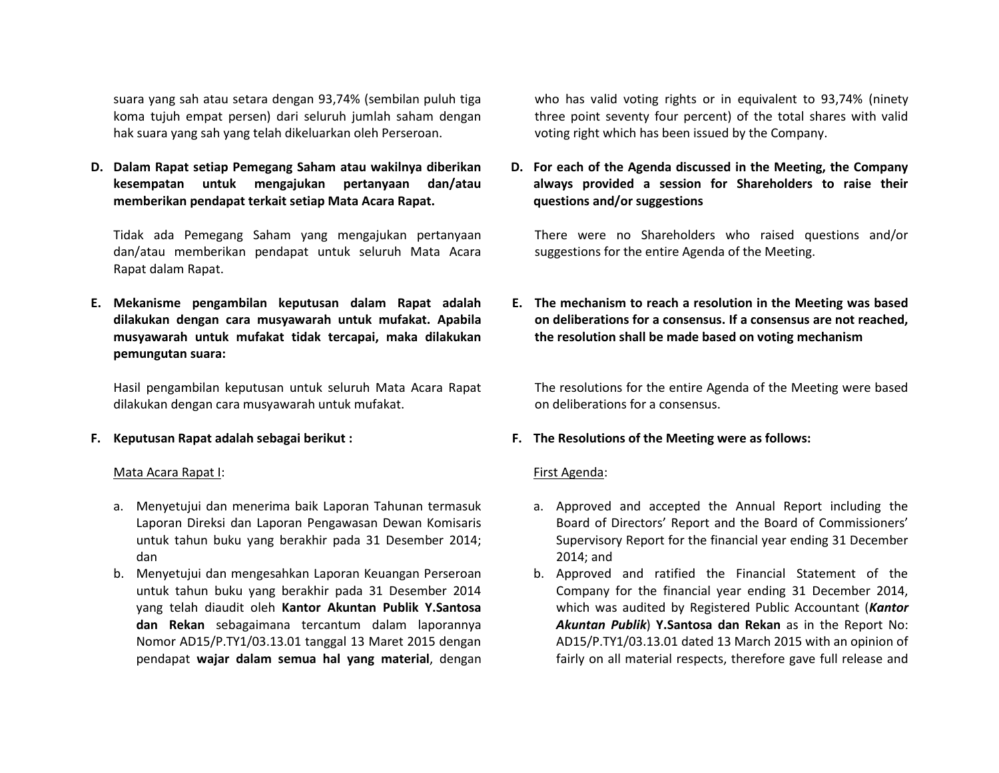suara yang sah atau setara dengan 93,74% (sembilan puluh tiga koma tujuh empat persen) dari seluruh jumlah saham dengan hak suara yang sah yang telah dikeluarkan oleh Perseroan.

**D. Dalam Rapat setiap Pemegang Saham atau wakilnya diberikan kesempatan untuk mengajukan pertanyaan dan/atau memberikan pendapat terkait setiap Mata Acara Rapat.**

Tidak ada Pemegang Saham yang mengajukan pertanyaan dan/atau memberikan pendapat untuk seluruh Mata Acara Rapat dalam Rapat.

**E. Mekanisme pengambilan keputusan dalam Rapat adalah dilakukan dengan cara musyawarah untuk mufakat. Apabila musyawarah untuk mufakat tidak tercapai, maka dilakukan pemungutan suara:**

Hasil pengambilan keputusan untuk seluruh Mata Acara Rapat dilakukan dengan cara musyawarah untuk mufakat.

**F. Keputusan Rapat adalah sebagai berikut :**

Mata Acara Rapat I:

- a. Menyetujui dan menerima baik Laporan Tahunan termasuk Laporan Direksi dan Laporan Pengawasan Dewan Komisaris untuk tahun buku yang berakhir pada 31 Desember 2014; dan
- b. Menyetujui dan mengesahkan Laporan Keuangan Perseroan untuk tahun buku yang berakhir pada 31 Desember 2014 yang telah diaudit oleh **Kantor Akuntan Publik Y.Santosa dan Rekan** sebagaimana tercantum dalam laporannya Nomor AD15/P.TY1/03.13.01 tanggal 13 Maret 2015 dengan pendapat **wajar dalam semua hal yang material**, dengan

who has valid voting rights or in equivalent to 93,74% (ninety three point seventy four percent) of the total shares with valid voting right which has been issued by the Company.

**D. For each of the Agenda discussed in the Meeting, the Company always provided a session for Shareholders to raise their questions and/or suggestions**

There were no Shareholders who raised questions and/or suggestions for the entire Agenda of the Meeting.

**E. The mechanism to reach a resolution in the Meeting was based on deliberations for a consensus. If a consensus are not reached, the resolution shall be made based on voting mechanism**

The resolutions for the entire Agenda of the Meeting were based on deliberations for a consensus.

### **F. The Resolutions of the Meeting were as follows:**

#### First Agenda:

- a. Approved and accepted the Annual Report including the Board of Directors' Report and the Board of Commissioners' Supervisory Report for the financial year ending 31 December 2014; and
- b. Approved and ratified the Financial Statement of the Company for the financial year ending 31 December 2014, which was audited by Registered Public Accountant (*Kantor Akuntan Publik*) **Y.Santosa dan Rekan** as in the Report No: AD15/P.TY1/03.13.01 dated 13 March 2015 with an opinion of fairly on all material respects, therefore gave full release and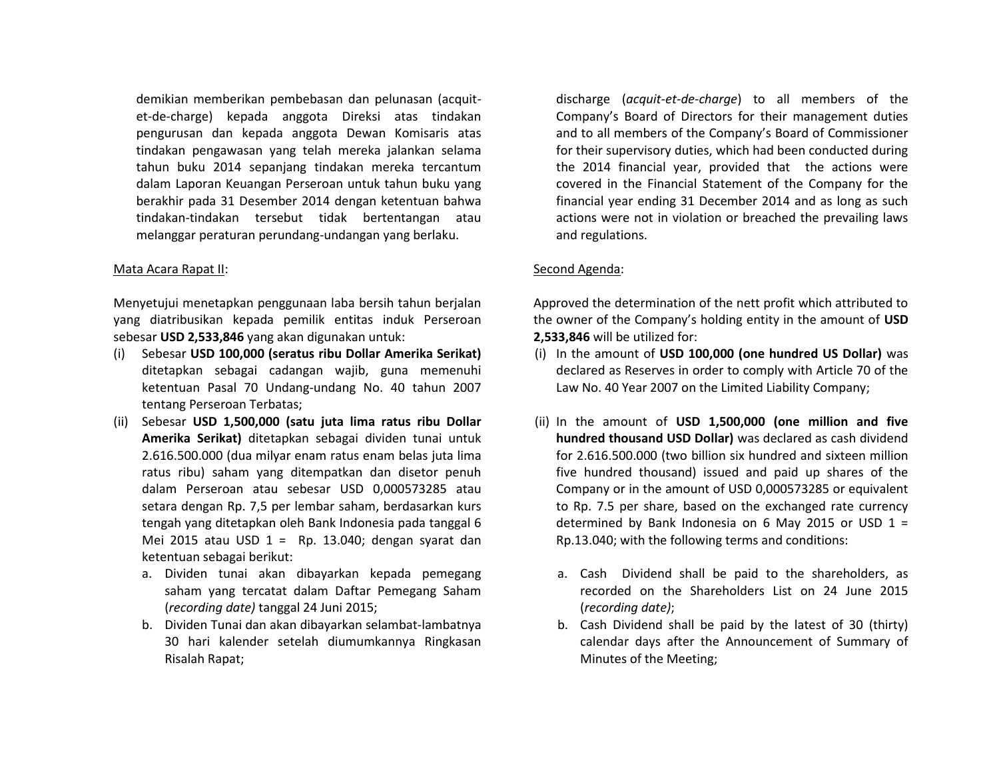demikian memberikan pembebasan dan pelunasan (acquitet-de-charge) kepada anggota Direksi atas tindakan pengurusan dan kepada anggota Dewan Komisaris atas tindakan pengawasan yang telah mereka jalankan selama tahun buku 2014 sepanjang tindakan mereka tercantum dalam Laporan Keuangan Perseroan untuk tahun buku yang berakhir pada 31 Desember 2014 dengan ketentuan bahwa tindakan-tindakan tersebut tidak bertentangan atau melanggar peraturan perundang-undangan yang berlaku.

#### Mata Acara Rapat II:

Menyetujui menetapkan penggunaan laba bersih tahun berjalan yang diatribusikan kepada pemilik entitas induk Perseroan sebesar **USD 2,533,846** yang akan digunakan untuk:

- (i) Sebesar **USD 100,000 (seratus ribu Dollar Amerika Serikat)** ditetapkan sebagai cadangan wajib, guna memenuhi ketentuan Pasal 70 Undang-undang No. 40 tahun 2007 tentang Perseroan Terbatas;
- (ii) Sebesar **USD 1,500,000 (satu juta lima ratus ribu Dollar Amerika Serikat)** ditetapkan sebagai dividen tunai untuk 2.616.500.000 (dua milyar enam ratus enam belas juta lima ratus ribu) saham yang ditempatkan dan disetor penuh dalam Perseroan atau sebesar USD 0,000573285 atau setara dengan Rp. 7,5 per lembar saham, berdasarkan kurs tengah yang ditetapkan oleh Bank Indonesia pada tanggal 6 Mei 2015 atau USD  $1 =$  Rp. 13.040; dengan syarat dan ketentuan sebagai berikut:
	- a. Dividen tunai akan dibayarkan kepada pemegang saham yang tercatat dalam Daftar Pemegang Saham (*recording date)* tanggal 24 Juni 2015;
	- b. Dividen Tunai dan akan dibayarkan selambat-lambatnya 30 hari kalender setelah diumumkannya Ringkasan Risalah Rapat;

discharge (*acquit-et-de-charge*) to all members of the Company's Board of Directors for their management duties and to all members of the Company's Board of Commissioner for their supervisory duties, which had been conducted during the 2014 financial year, provided that the actions were covered in the Financial Statement of the Company for the financial year ending 31 December 2014 and as long as such actions were not in violation or breached the prevailing laws and regulations.

### Second Agenda:

Approved the determination of the nett profit which attributed to the owner of the Company's holding entity in the amount of **USD 2,533,846** will be utilized for:

- (i) In the amount of **USD 100,000 (one hundred US Dollar)** was declared as Reserves in order to comply with Article 70 of the Law No. 40 Year 2007 on the Limited Liability Company;
- (ii) In the amount of **USD 1,500,000 (one million and five hundred thousand USD Dollar)** was declared as cash dividend for 2.616.500.000 (two billion six hundred and sixteen million five hundred thousand) issued and paid up shares of the Company or in the amount of USD 0,000573285 or equivalent to Rp. 7.5 per share, based on the exchanged rate currency determined by Bank Indonesia on 6 May 2015 or USD  $1 =$ Rp.13.040; with the following terms and conditions:
	- a. Cash Dividend shall be paid to the shareholders, as recorded on the Shareholders List on 24 June 2015 (*recording date)*;
	- b. Cash Dividend shall be paid by the latest of 30 (thirty) calendar days after the Announcement of Summary of Minutes of the Meeting;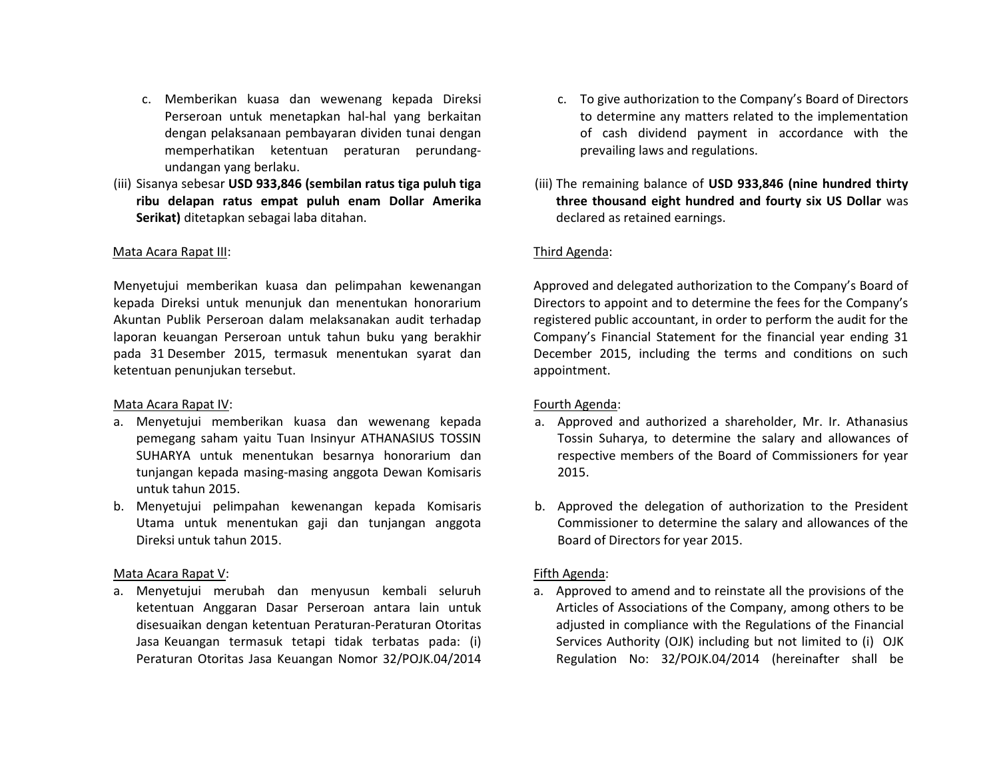- c. Memberikan kuasa dan wewenang kepada Direksi Perseroan untuk menetapkan hal-hal yang berkaitan dengan pelaksanaan pembayaran dividen tunai dengan memperhatikan ketentuan peraturan perundangundangan yang berlaku.
- (iii) Sisanya sebesar **USD 933,846 (sembilan ratus tiga puluh tiga ribu delapan ratus empat puluh enam Dollar Amerika Serikat)** ditetapkan sebagai laba ditahan.

### Mata Acara Rapat III:

Menyetujui memberikan kuasa dan pelimpahan kewenangan kepada Direksi untuk menunjuk dan menentukan honorarium Akuntan Publik Perseroan dalam melaksanakan audit terhadap laporan keuangan Perseroan untuk tahun buku yang berakhir pada 31 Desember 2015, termasuk menentukan syarat dan ketentuan penunjukan tersebut.

### Mata Acara Rapat IV:

- a. Menyetujui memberikan kuasa dan wewenang kepada pemegang saham yaitu Tuan Insinyur ATHANASIUS TOSSIN SUHARYA untuk menentukan besarnya honorarium dan tunjangan kepada masing-masing anggota Dewan Komisaris untuk tahun 2015.
- b. Menyetujui pelimpahan kewenangan kepada Komisaris Utama untuk menentukan gaji dan tunjangan anggota Direksi untuk tahun 2015.

### Mata Acara Rapat V:

a. Menyetujui merubah dan menyusun kembali seluruh ketentuan Anggaran Dasar Perseroan antara lain untuk disesuaikan dengan ketentuan Peraturan-Peraturan Otoritas Jasa Keuangan termasuk tetapi tidak terbatas pada: (i) Peraturan Otoritas Jasa Keuangan Nomor 32/POJK.04/2014

- c. To give authorization to the Company's Board of Directors to determine any matters related to the implementation of cash dividend payment in accordance with the prevailing laws and regulations.
- (iii) The remaining balance of **USD 933,846 (nine hundred thirty three thousand eight hundred and fourty six US Dollar** was declared as retained earnings.

# Third Agenda:

Approved and delegated authorization to the Company's Board of Directors to appoint and to determine the fees for the Company's registered public accountant, in order to perform the audit for the Company's Financial Statement for the financial year ending 31 December 2015, including the terms and conditions on such appointment.

### Fourth Agenda:

- a. Approved and authorized a shareholder, Mr. Ir. Athanasius Tossin Suharya, to determine the salary and allowances of respective members of the Board of Commissioners for year 2015.
- b. Approved the delegation of authorization to the President Commissioner to determine the salary and allowances of the Board of Directors for year 2015.

# Fifth Agenda:

a. Approved to amend and to reinstate all the provisions of the Articles of Associations of the Company, among others to be adjusted in compliance with the Regulations of the Financial Services Authority (OJK) including but not limited to (i) OJK Regulation No: 32/POJK.04/2014 (hereinafter shall be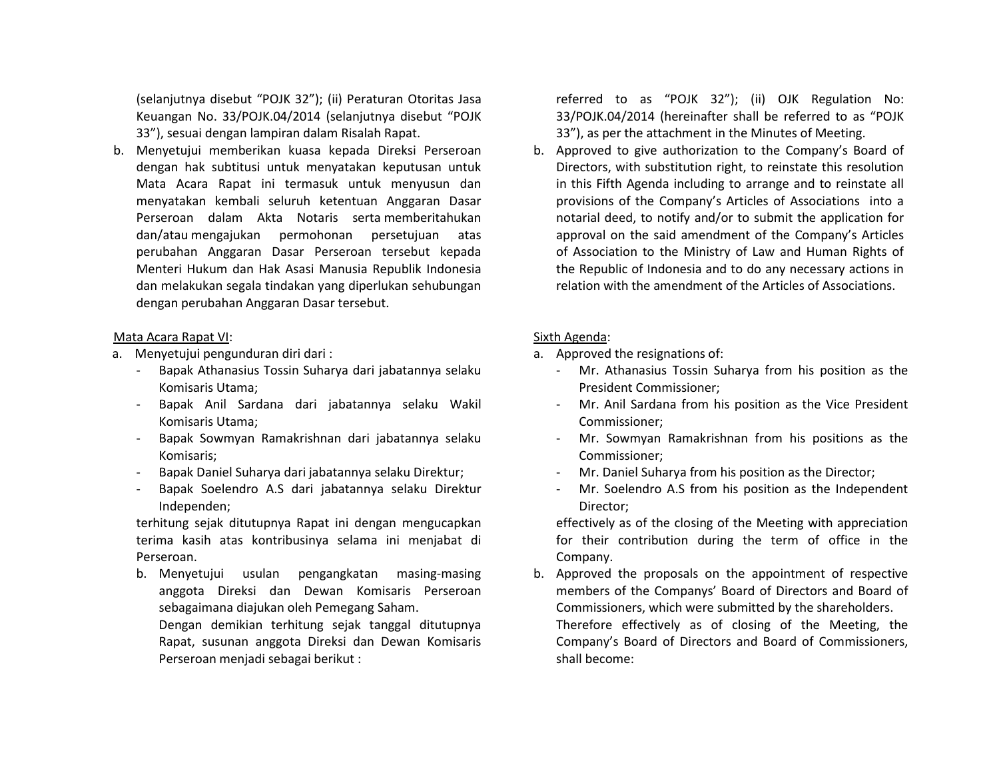(selanjutnya disebut "POJK 32"); (ii) Peraturan Otoritas Jasa Keuangan No. 33/POJK.04/2014 (selanjutnya disebut "POJK 33"), sesuai dengan lampiran dalam Risalah Rapat.

b. Menyetujui memberikan kuasa kepada Direksi Perseroan dengan hak subtitusi untuk menyatakan keputusan untuk Mata Acara Rapat ini termasuk untuk menyusun dan menyatakan kembali seluruh ketentuan Anggaran Dasar Perseroan dalam Akta Notaris serta memberitahukan dan/atau mengajukan permohonan persetujuan atas perubahan Anggaran Dasar Perseroan tersebut kepada Menteri Hukum dan Hak Asasi Manusia Republik Indonesia dan melakukan segala tindakan yang diperlukan sehubungan dengan perubahan Anggaran Dasar tersebut.

### Mata Acara Rapat VI:

- a. Menyetujui pengunduran diri dari :
	- Bapak Athanasius Tossin Suharya dari jabatannya selaku Komisaris Utama;
	- Bapak Anil Sardana dari jabatannya selaku Wakil Komisaris Utama;
	- Bapak Sowmyan Ramakrishnan dari jabatannya selaku Komisaris;
	- Bapak Daniel Suharya dari jabatannya selaku Direktur;
	- Bapak Soelendro A.S dari jabatannya selaku Direktur Independen;

terhitung sejak ditutupnya Rapat ini dengan mengucapkan terima kasih atas kontribusinya selama ini menjabat di Perseroan.

b. Menyetujui usulan pengangkatan masing-masing anggota Direksi dan Dewan Komisaris Perseroan sebagaimana diajukan oleh Pemegang Saham.

Dengan demikian terhitung sejak tanggal ditutupnya Rapat, susunan anggota Direksi dan Dewan Komisaris Perseroan menjadi sebagai berikut :

referred to as "POJK 32"); (ii) OJK Regulation No: 33/POJK.04/2014 (hereinafter shall be referred to as "POJK 33"), as per the attachment in the Minutes of Meeting.

b. Approved to give authorization to the Company's Board of Directors, with substitution right, to reinstate this resolution in this Fifth Agenda including to arrange and to reinstate all provisions of the Company's Articles of Associations into a notarial deed, to notify and/or to submit the application for approval on the said amendment of the Company's Articles of Association to the Ministry of Law and Human Rights of the Republic of Indonesia and to do any necessary actions in relation with the amendment of the Articles of Associations.

### Sixth Agenda:

- a. Approved the resignations of:
	- Mr. Athanasius Tossin Suharya from his position as the President Commissioner;
	- Mr. Anil Sardana from his position as the Vice President Commissioner;
	- Mr. Sowmyan Ramakrishnan from his positions as the Commissioner;
	- Mr. Daniel Suharya from his position as the Director;
	- Mr. Soelendro A.S from his position as the Independent Director;

effectively as of the closing of the Meeting with appreciation for their contribution during the term of office in the Company.

b. Approved the proposals on the appointment of respective members of the Companys' Board of Directors and Board of Commissioners, which were submitted by the shareholders. Therefore effectively as of closing of the Meeting, the Company's Board of Directors and Board of Commissioners, shall become: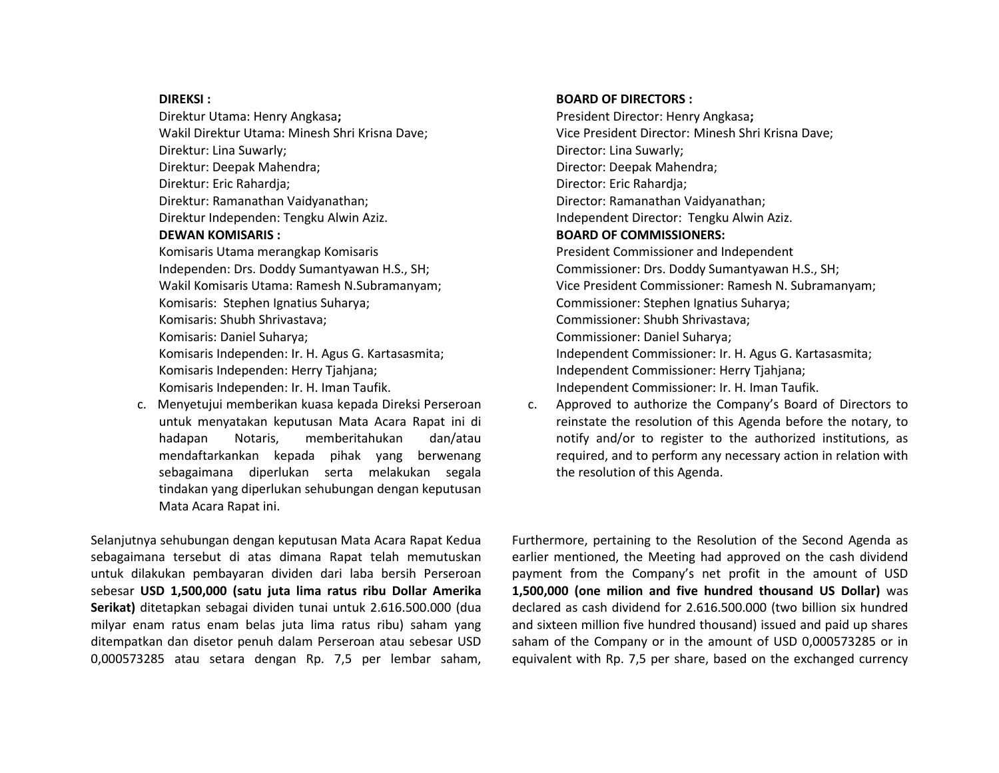#### **DIREKSI :**

Direktur Utama: Henry Angkasa**;** Wakil Direktur Utama: Minesh Shri Krisna Dave; Direktur: Lina Suwarly; Direktur: Deepak Mahendra; Direktur: Eric Rahardja; Direktur: Ramanathan Vaidyanathan; Direktur Independen: Tengku Alwin Aziz. **DEWAN KOMISARIS :** Komisaris Utama merangkap Komisaris Independen: Drs. Doddy Sumantyawan H.S., SH; Wakil Komisaris Utama: Ramesh N.Subramanyam; Komisaris: Stephen Ignatius Suharya; Komisaris: Shubh Shrivastava; Komisaris: Daniel Suharya; Komisaris Independen: Ir. H. Agus G. Kartasasmita; Komisaris Independen: Herry Tjahjana;

Komisaris Independen: Ir. H. Iman Taufik.

c. Menyetujui memberikan kuasa kepada Direksi Perseroan untuk menyatakan keputusan Mata Acara Rapat ini di hadapan Notaris, memberitahukan dan/atau mendaftarkankan kepada pihak yang berwenang sebagaimana diperlukan serta melakukan segala tindakan yang diperlukan sehubungan dengan keputusan Mata Acara Rapat ini.

Selanjutnya sehubungan dengan keputusan Mata Acara Rapat Kedua sebagaimana tersebut di atas dimana Rapat telah memutuskan untuk dilakukan pembayaran dividen dari laba bersih Perseroan sebesar **USD 1,500,000 (satu juta lima ratus ribu Dollar Amerika Serikat)** ditetapkan sebagai dividen tunai untuk 2.616.500.000 (dua milyar enam ratus enam belas juta lima ratus ribu) saham yang ditempatkan dan disetor penuh dalam Perseroan atau sebesar USD 0,000573285 atau setara dengan Rp. 7,5 per lembar saham,

### **BOARD OF DIRECTORS :**

President Director: Henry Angkasa**;** Vice President Director: Minesh Shri Krisna Dave; Director: Lina Suwarly; Director: Deepak Mahendra; Director: Eric Rahardja; Director: Ramanathan Vaidyanathan; Independent Director: Tengku Alwin Aziz. **BOARD OF COMMISSIONERS:** President Commissioner and Independent Commissioner: Drs. Doddy Sumantyawan H.S., SH; Vice President Commissioner: Ramesh N. Subramanyam; Commissioner: Stephen Ignatius Suharya; Commissioner: Shubh Shrivastava; Commissioner: Daniel Suharya; Independent Commissioner: Ir. H. Agus G. Kartasasmita; Independent Commissioner: Herry Tjahjana; Independent Commissioner: Ir. H. Iman Taufik.

c. Approved to authorize the Company's Board of Directors to reinstate the resolution of this Agenda before the notary, to notify and/or to register to the authorized institutions, as required, and to perform any necessary action in relation with the resolution of this Agenda.

Furthermore, pertaining to the Resolution of the Second Agenda as earlier mentioned, the Meeting had approved on the cash dividend payment from the Company's net profit in the amount of USD **1,500,000 (one milion and five hundred thousand US Dollar)** was declared as cash dividend for 2.616.500.000 (two billion six hundred and sixteen million five hundred thousand) issued and paid up shares saham of the Company or in the amount of USD 0,000573285 or in equivalent with Rp. 7,5 per share, based on the exchanged currency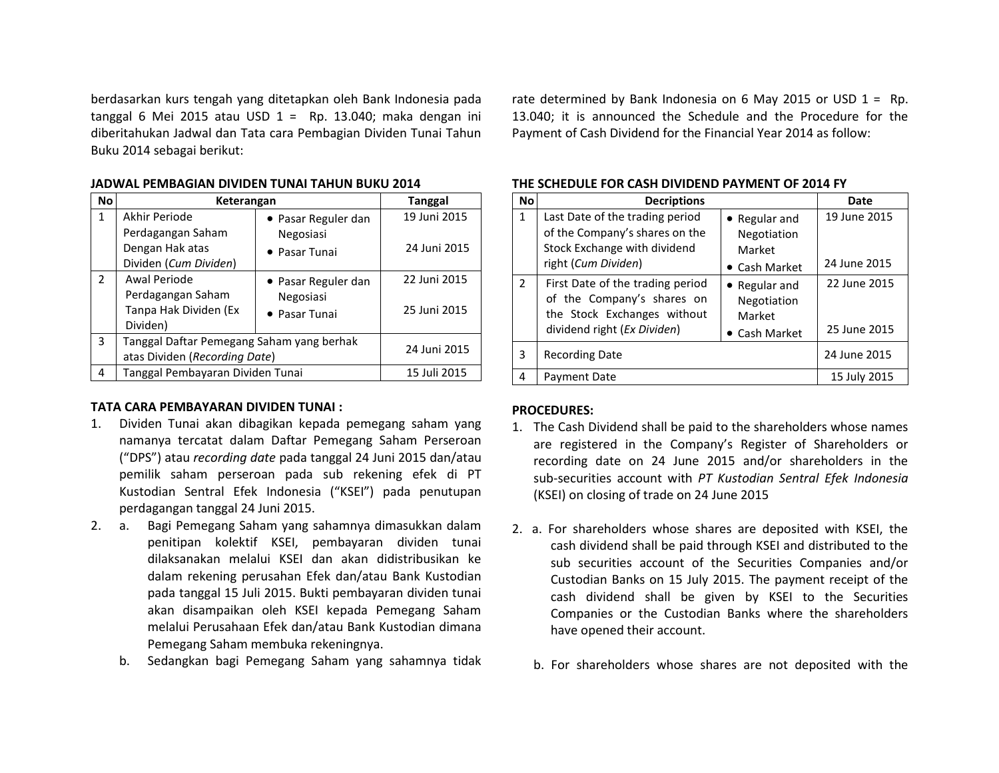berdasarkan kurs tengah yang ditetapkan oleh Bank Indonesia pada tanggal 6 Mei 2015 atau USD  $1 =$  Rp. 13.040; maka dengan ini diberitahukan Jadwal dan Tata cara Pembagian Dividen Tunai Tahun Buku 2014 sebagai berikut:

| <b>No</b>      | Keterangan                                                                 | <b>Tanggal</b>             |              |
|----------------|----------------------------------------------------------------------------|----------------------------|--------------|
| 1              | Akhir Periode                                                              | • Pasar Reguler dan        | 19 Juni 2015 |
|                | Perdagangan Saham<br>Dengan Hak atas<br>Dividen (Cum Dividen)              | Negosiasi<br>• Pasar Tunai | 24 Juni 2015 |
| $\overline{2}$ | Awal Periode                                                               | • Pasar Reguler dan        | 22 Juni 2015 |
|                | Perdagangan Saham<br>Tanpa Hak Dividen (Ex<br>Dividen)                     | Negosiasi<br>• Pasar Tunai | 25 Juni 2015 |
| 3              | Tanggal Daftar Pemegang Saham yang berhak<br>atas Dividen (Recording Date) |                            | 24 Juni 2015 |
| 4              | Tanggal Pembayaran Dividen Tunai                                           |                            | 15 Juli 2015 |

#### **JADWAL PEMBAGIAN DIVIDEN TUNAI TAHUN BUKU 2014**

#### **TATA CARA PEMBAYARAN DIVIDEN TUNAI :**

- 1. Dividen Tunai akan dibagikan kepada pemegang saham yang namanya tercatat dalam Daftar Pemegang Saham Perseroan ("DPS") atau *recording date* pada tanggal 24 Juni 2015 dan/atau pemilik saham perseroan pada sub rekening efek di PT Kustodian Sentral Efek Indonesia ("KSEI") pada penutupan perdagangan tanggal 24 Juni 2015.
- 2. a. Bagi Pemegang Saham yang sahamnya dimasukkan dalam penitipan kolektif KSEI, pembayaran dividen tunai dilaksanakan melalui KSEI dan akan didistribusikan ke dalam rekening perusahan Efek dan/atau Bank Kustodian pada tanggal 15 Juli 2015. Bukti pembayaran dividen tunai akan disampaikan oleh KSEI kepada Pemegang Saham melalui Perusahaan Efek dan/atau Bank Kustodian dimana Pemegang Saham membuka rekeningnya.
	- b. Sedangkan bagi Pemegang Saham yang sahamnya tidak

rate determined by Bank Indonesia on 6 May 2015 or USD  $1 =$  Rp. 13.040; it is announced the Schedule and the Procedure for the Payment of Cash Dividend for the Financial Year 2014 as follow:

| <b>No</b>      | <b>Decriptions</b>                                                                                                           | Date                                                    |                              |
|----------------|------------------------------------------------------------------------------------------------------------------------------|---------------------------------------------------------|------------------------------|
| $\mathbf{1}$   | Last Date of the trading period<br>of the Company's shares on the<br>Stock Exchange with dividend<br>right (Cum Dividen)     | • Regular and<br>Negotiation<br>Market<br>• Cash Market | 19 June 2015<br>24 June 2015 |
| $\overline{2}$ | First Date of the trading period<br>of the Company's shares on<br>the Stock Exchanges without<br>dividend right (Ex Dividen) | • Regular and<br>Negotiation<br>Market<br>• Cash Market | 22 June 2015<br>25 June 2015 |
| 3              | <b>Recording Date</b>                                                                                                        |                                                         | 24 June 2015                 |
| 4              | Payment Date                                                                                                                 | 15 July 2015                                            |                              |

#### **THE SCHEDULE FOR CASH DIVIDEND PAYMENT OF 2014 FY**

#### **PROCEDURES:**

- 1. The Cash Dividend shall be paid to the shareholders whose names are registered in the Company's Register of Shareholders or recording date on 24 June 2015 and/or shareholders in the sub‐securities account with *PT Kustodian Sentral Efek Indonesia* (KSEI) on closing of trade on 24 June 2015
- 2. a. For shareholders whose shares are deposited with KSEI, the cash dividend shall be paid through KSEI and distributed to the sub securities account of the Securities Companies and/or Custodian Banks on 15 July 2015. The payment receipt of the cash dividend shall be given by KSEI to the Securities Companies or the Custodian Banks where the shareholders have opened their account.
	- b. For shareholders whose shares are not deposited with the